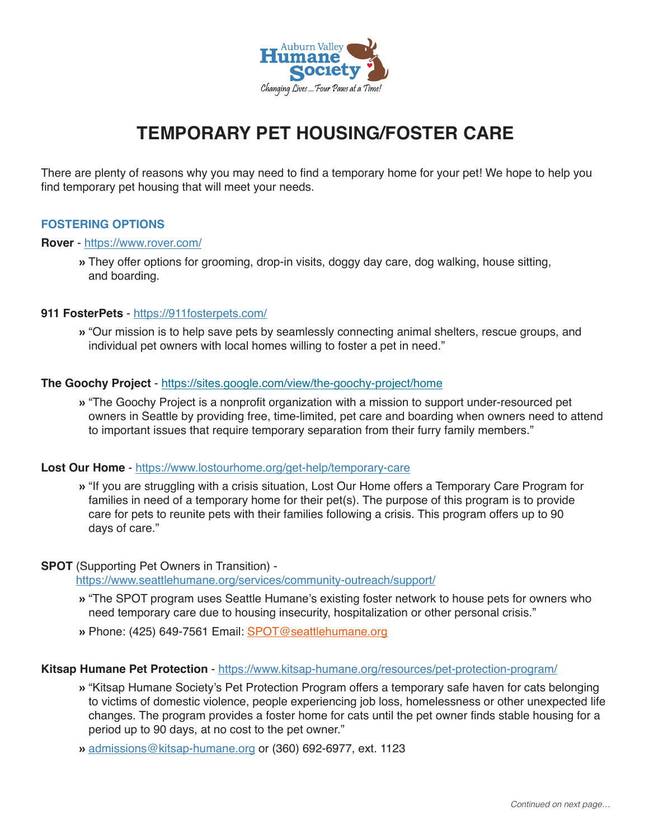

# **TEMPORARY PET HOUSING/FOSTER CARE**

There are plenty of reasons why you may need to find a temporary home for your pet! We hope to help you find temporary pet housing that will meet your needs.

# **FOSTERING OPTIONS**

#### **Rover** - https://www.rover.com/

» They offer options for grooming, drop-in visits, doggy day care, dog walking, house sitting, and boarding.

#### **911 FosterPets** - https://911fosterpets.com/

» "Our mission is to help save pets by seamlessly connecting animal shelters, rescue groups, and individual pet owners with local homes willing to foster a pet in need."

#### **The Goochy Project** - https://sites.google.com/view/the-goochy-project/home

» "The Goochy Project is a nonprofit organization with a mission to support under-resourced pet owners in Seattle by providing free, time-limited, pet care and boarding when owners need to attend to important issues that require temporary separation from their furry family members."

#### **Lost Our Home** - https://www.lostourhome.org/get-help/temporary-care

» "If you are struggling with a crisis situation, Lost Our Home offers a Temporary Care Program for families in need of a temporary home for their pet(s). The purpose of this program is to provide care for pets to reunite pets with their families following a crisis. This program offers up to 90 days of care."

# **SPOT** (Supporting Pet Owners in Transition) -

https://www.seattlehumane.org/services/community-outreach/support/

- » "The SPOT program uses Seattle Humane's existing foster network to house pets for owners who need temporary care due to housing insecurity, hospitalization or other personal crisis."
- » Phone: (425) 649-7561 Email: SPOT@seattlehumane.org

#### **Kitsap Humane Pet Protection** - https://www.kitsap-humane.org/resources/pet-protection-program/

- » "Kitsap Humane Society's Pet Protection Program offers a temporary safe haven for cats belonging to victims of domestic violence, people experiencing job loss, homelessness or other unexpected life changes. The program provides a foster home for cats until the pet owner finds stable housing for a period up to 90 days, at no cost to the pet owner."
- » admissions@kitsap-humane.org or (360) 692-6977, ext. 1123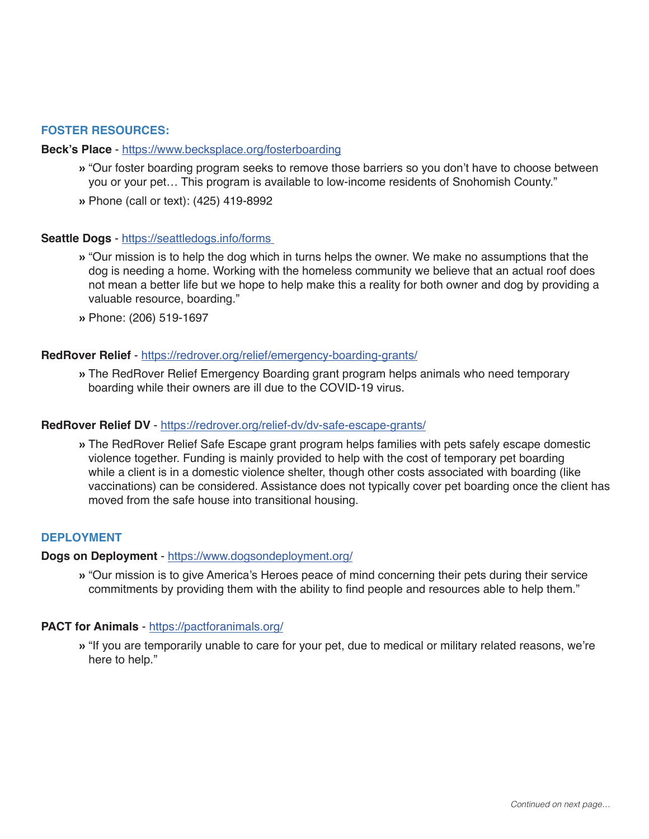# **FOSTER RESOURCES:**

#### **Beck's Place** - https://www.becksplace.org/fosterboarding

- » "Our foster boarding program seeks to remove those barriers so you don't have to choose between you or your pet… This program is available to low-income residents of Snohomish County."
- » Phone (call or text): (425) 419-8992

#### **Seattle Dogs** - https://seattledogs.info/forms

- » "Our mission is to help the dog which in turns helps the owner. We make no assumptions that the dog is needing a home. Working with the homeless community we believe that an actual roof does not mean a better life but we hope to help make this a reality for both owner and dog by providing a valuable resource, boarding."
- » Phone: (206) 519-1697

#### **RedRover Relief** - https://redrover.org/relief/emergency-boarding-grants/

» The RedRover Relief Emergency Boarding grant program helps animals who need temporary boarding while their owners are ill due to the COVID-19 virus.

#### **RedRover Relief DV** - https://redrover.org/relief-dv/dv-safe-escape-grants/

» The RedRover Relief Safe Escape grant program helps families with pets safely escape domestic violence together. Funding is mainly provided to help with the cost of temporary pet boarding while a client is in a domestic violence shelter, though other costs associated with boarding (like vaccinations) can be considered. Assistance does not typically cover pet boarding once the client has moved from the safe house into transitional housing.

#### **DEPLOYMENT**

#### **Dogs on Deployment** - https://www.dogsondeployment.org/

» "Our mission is to give America's Heroes peace of mind concerning their pets during their service commitments by providing them with the ability to find people and resources able to help them."

#### **PACT for Animals** - https://pactforanimals.org/

» "If you are temporarily unable to care for your pet, due to medical or military related reasons, we're here to help."